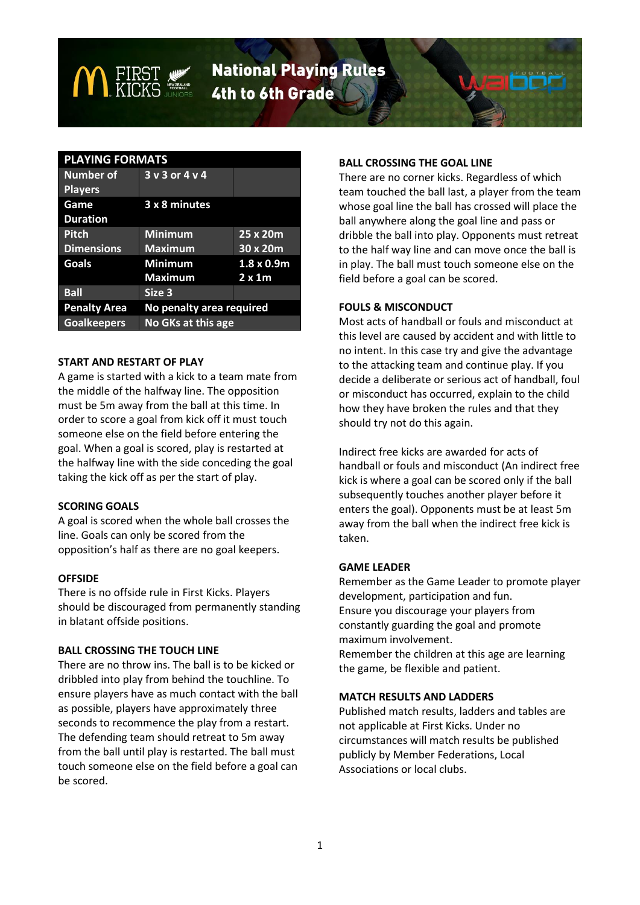# **National Playing Rules** 4th to 6th Grade

# **PLAYING FORMATS**

| <b>Number of</b><br><b>Players</b> | $3 \vee 3$ or $4 \vee 4$ |                   |
|------------------------------------|--------------------------|-------------------|
| Game<br><b>Duration</b>            | 3 x 8 minutes            |                   |
| <b>Pitch</b>                       | <b>Minimum</b>           | 25x20m            |
| <b>Dimensions</b>                  | <b>Maximum</b>           | 30x20m            |
| <b>Goals</b>                       | <b>Minimum</b>           | $1.8 \times 0.9m$ |
|                                    | <b>Maximum</b>           | $2 \times 1m$     |
| <b>Ball</b>                        | Size 3                   |                   |
| <b>Penalty Area</b>                | No penalty area required |                   |
| <b>Goalkeepers</b>                 | No GKs at this age       |                   |

#### **START AND RESTART OF PLAY**

A game is started with a kick to a team mate from the middle of the halfway line. The opposition must be 5m away from the ball at this time. In order to score a goal from kick off it must touch someone else on the field before entering the goal. When a goal is scored, play is restarted at the halfway line with the side conceding the goal taking the kick off as per the start of play.

# **SCORING GOALS**

A goal is scored when the whole ball crosses the line. Goals can only be scored from the opposition's half as there are no goal keepers.

# **OFFSIDE**

There is no offside rule in First Kicks. Players should be discouraged from permanently standing in blatant offside positions.

# **BALL CROSSING THE TOUCH LINE**

There are no throw ins. The ball is to be kicked or dribbled into play from behind the touchline. To ensure players have as much contact with the ball as possible, players have approximately three seconds to recommence the play from a restart. The defending team should retreat to 5m away from the ball until play is restarted. The ball must touch someone else on the field before a goal can be scored.

# **BALL CROSSING THE GOAL LINE**

There are no corner kicks. Regardless of which team touched the ball last, a player from the team whose goal line the ball has crossed will place the ball anywhere along the goal line and pass or dribble the ball into play. Opponents must retreat to the half way line and can move once the ball is in play. The ball must touch someone else on the field before a goal can be scored.

#### **FOULS & MISCONDUCT**

Most acts of handball or fouls and misconduct at this level are caused by accident and with little to no intent. In this case try and give the advantage to the attacking team and continue play. If you decide a deliberate or serious act of handball, foul or misconduct has occurred, explain to the child how they have broken the rules and that they should try not do this again.

Indirect free kicks are awarded for acts of handball or fouls and misconduct (An indirect free kick is where a goal can be scored only if the ball subsequently touches another player before it enters the goal). Opponents must be at least 5m away from the ball when the indirect free kick is taken.

# **GAME LEADER**

Remember as the Game Leader to promote player development, participation and fun. Ensure you discourage your players from constantly guarding the goal and promote maximum involvement. Remember the children at this age are learning the game, be flexible and patient.

#### **MATCH RESULTS AND LADDERS**

Published match results, ladders and tables are not applicable at First Kicks. Under no circumstances will match results be published publicly by Member Federations, Local Associations or local clubs.